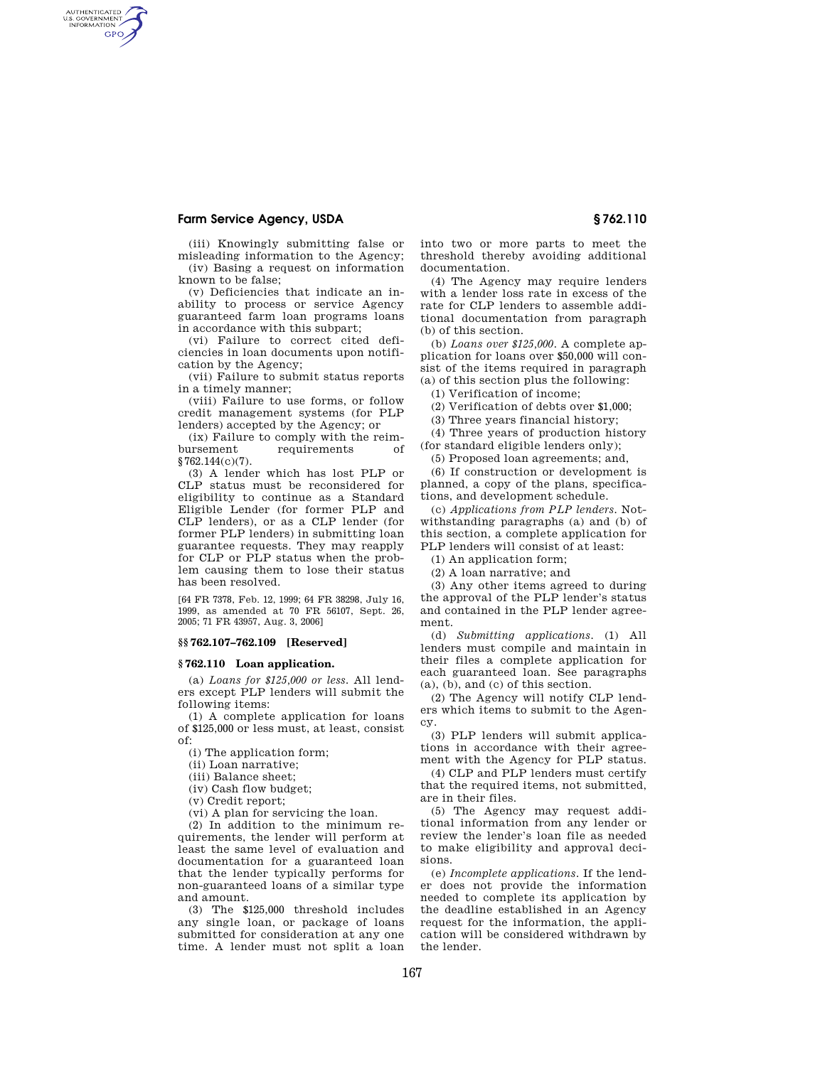# **Farm Service Agency, USDA § 762.110**

AUTHENTICATED<br>U.S. GOVERNMENT<br>INFORMATION **GPO** 

> (iii) Knowingly submitting false or misleading information to the Agency; (iv) Basing a request on information known to be false;

> (v) Deficiencies that indicate an inability to process or service Agency guaranteed farm loan programs loans in accordance with this subpart;

> (vi) Failure to correct cited deficiencies in loan documents upon notification by the Agency;

> (vii) Failure to submit status reports in a timely manner;

> (viii) Failure to use forms, or follow credit management systems (for PLP lenders) accepted by the Agency; or

> (ix) Failure to comply with the reimbursement requirements of §762.144(c)(7)

(3) A lender which has lost PLP or CLP status must be reconsidered for eligibility to continue as a Standard Eligible Lender (for former PLP and CLP lenders), or as a CLP lender (for former PLP lenders) in submitting loan guarantee requests. They may reapply for CLP or PLP status when the problem causing them to lose their status has been resolved.

[64 FR 7378, Feb. 12, 1999; 64 FR 38298, July 16, 1999, as amended at 70 FR 56107, Sept. 26, 2005; 71 FR 43957, Aug. 3, 2006]

## **§§ 762.107–762.109 [Reserved]**

### **§ 762.110 Loan application.**

(a) *Loans for \$125,000 or less.* All lenders except PLP lenders will submit the following items:

(1) A complete application for loans of \$125,000 or less must, at least, consist of:

(i) The application form;

(ii) Loan narrative;

(iii) Balance sheet;

(iv) Cash flow budget;

(v) Credit report;

(vi) A plan for servicing the loan.

(2) In addition to the minimum requirements, the lender will perform at least the same level of evaluation and documentation for a guaranteed loan that the lender typically performs for non-guaranteed loans of a similar type and amount.

(3) The \$125,000 threshold includes any single loan, or package of loans submitted for consideration at any one time. A lender must not split a loan into two or more parts to meet the threshold thereby avoiding additional documentation.

(4) The Agency may require lenders with a lender loss rate in excess of the rate for CLP lenders to assemble additional documentation from paragraph (b) of this section.

(b) *Loans over \$125,000.* A complete application for loans over \$50,000 will consist of the items required in paragraph (a) of this section plus the following:

(1) Verification of income;

(2) Verification of debts over \$1,000;

(3) Three years financial history;

(4) Three years of production history (for standard eligible lenders only);

(5) Proposed loan agreements; and,

(6) If construction or development is planned, a copy of the plans, specifications, and development schedule.

(c) *Applications from PLP lenders.* Notwithstanding paragraphs (a) and (b) of this section, a complete application for PLP lenders will consist of at least:

(1) An application form;

(2) A loan narrative; and

(3) Any other items agreed to during the approval of the PLP lender's status and contained in the PLP lender agreement.

(d) *Submitting applications.* (1) All lenders must compile and maintain in their files a complete application for each guaranteed loan. See paragraphs (a), (b), and (c) of this section.

(2) The Agency will notify CLP lenders which items to submit to the Agency.

(3) PLP lenders will submit applications in accordance with their agreement with the Agency for PLP status.

(4) CLP and PLP lenders must certify that the required items, not submitted, are in their files.

(5) The Agency may request additional information from any lender or review the lender's loan file as needed to make eligibility and approval decisions.

(e) *Incomplete applications.* If the lender does not provide the information needed to complete its application by the deadline established in an Agency request for the information, the application will be considered withdrawn by the lender.